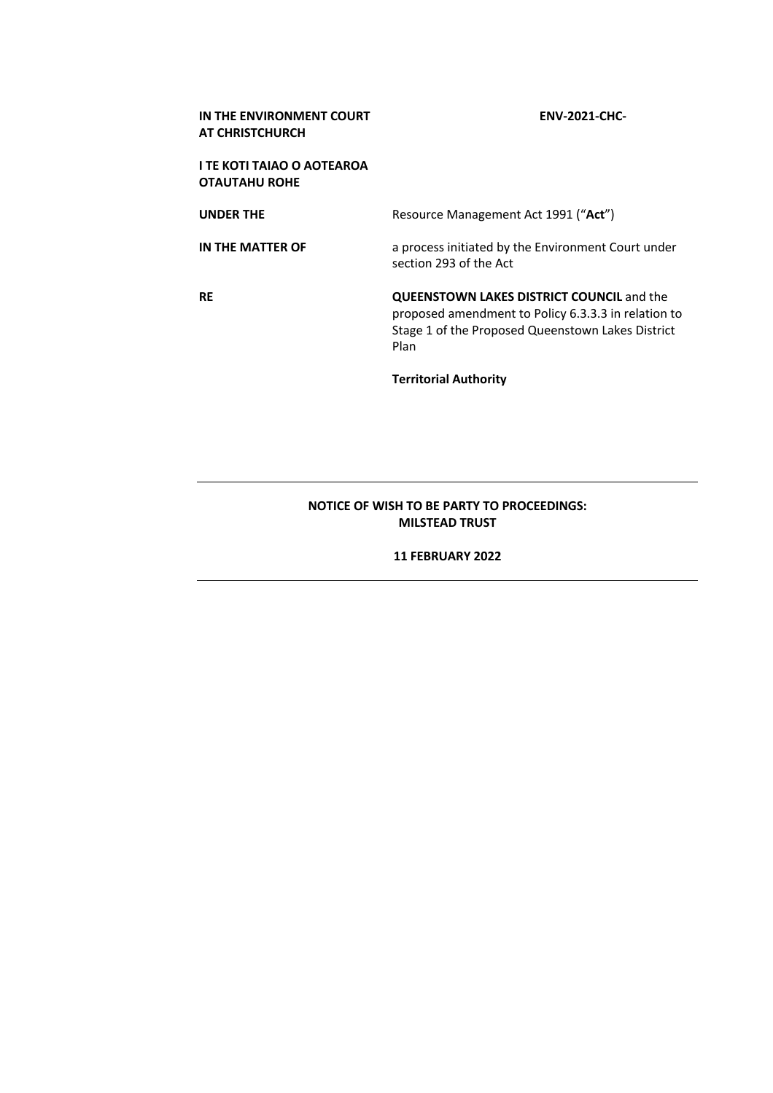| IN THE ENVIRONMENT COURT<br><b>AT CHRISTCHURCH</b> | <b>ENV-2021-CHC-</b>                                                                                                                                                 |
|----------------------------------------------------|----------------------------------------------------------------------------------------------------------------------------------------------------------------------|
| I TE KOTI TAIAO O AOTEAROA<br><b>OTAUTAHU ROHE</b> |                                                                                                                                                                      |
| <b>UNDER THE</b>                                   | Resource Management Act 1991 ("Act")                                                                                                                                 |
| IN THE MATTER OF                                   | a process initiated by the Environment Court under<br>section 293 of the Act                                                                                         |
| RE                                                 | <b>QUEENSTOWN LAKES DISTRICT COUNCIL and the</b><br>proposed amendment to Policy 6.3.3.3 in relation to<br>Stage 1 of the Proposed Queenstown Lakes District<br>Plan |
|                                                    | <b>Territorial Authority</b>                                                                                                                                         |

## **NOTICE OF WISH TO BE PARTY TO PROCEEDINGS: MILSTEAD TRUST**

## **11 FEBRUARY 2022**